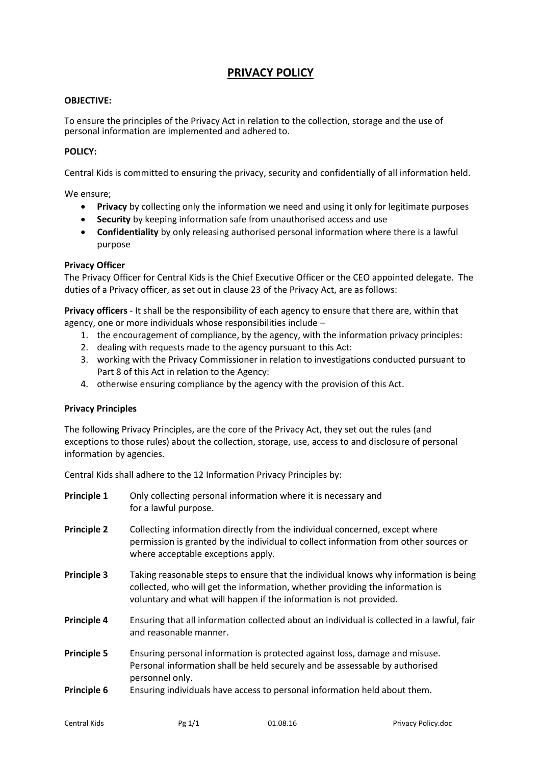# **PRIVACY POLICY**

## **OBJECTIVE:**

To ensure the principles of the Privacy Act in relation to the collection, storage and the use of personal information are implemented and adhered to.

#### **POLICY:**

Central Kids is committed to ensuring the privacy, security and confidentially of all information held.

We ensure;

- **Privacy** by collecting only the information we need and using it only for legitimate purposes
- **Security** by keeping information safe from unauthorised access and use
- **Confidentiality** by only releasing authorised personal information where there is a lawful purpose

## **Privacy Officer**

The Privacy Officer for Central Kids is the Chief Executive Officer or the CEO appointed delegate. The duties of a Privacy officer, as set out in clause 23 of the Privacy Act, are as follows:

**Privacy officers** - It shall be the responsibility of each agency to ensure that there are, within that agency, one or more individuals whose responsibilities include –

- 1. the encouragement of compliance, by the agency, with the information privacy principles:
- 2. dealing with requests made to the agency pursuant to this Act:
- 3. working with the Privacy Commissioner in relation to investigations conducted pursuant to Part 8 of this Act in relation to the Agency:
- 4. otherwise ensuring compliance by the agency with the provision of this Act.

## **Privacy Principles**

The following Privacy Principles, are the core of the Privacy Act, they set out the rules (and exceptions to those rules) about the collection, storage, use, access to and disclosure of personal information by agencies.

Central Kids shall adhere to the 12 Information Privacy Principles by:

| <b>Principle 1</b> | Only collecting personal information where it is necessary and<br>for a lawful purpose.                                                                                                                                                     |
|--------------------|---------------------------------------------------------------------------------------------------------------------------------------------------------------------------------------------------------------------------------------------|
| <b>Principle 2</b> | Collecting information directly from the individual concerned, except where<br>permission is granted by the individual to collect information from other sources or<br>where acceptable exceptions apply.                                   |
| <b>Principle 3</b> | Taking reasonable steps to ensure that the individual knows why information is being<br>collected, who will get the information, whether providing the information is<br>voluntary and what will happen if the information is not provided. |
| Principle 4        | Ensuring that all information collected about an individual is collected in a lawful, fair<br>and reasonable manner.                                                                                                                        |
| <b>Principle 5</b> | Ensuring personal information is protected against loss, damage and misuse.<br>Personal information shall be held securely and be assessable by authorised<br>personnel only.                                                               |
| Principle 6        | Ensuring individuals have access to personal information held about them.                                                                                                                                                                   |